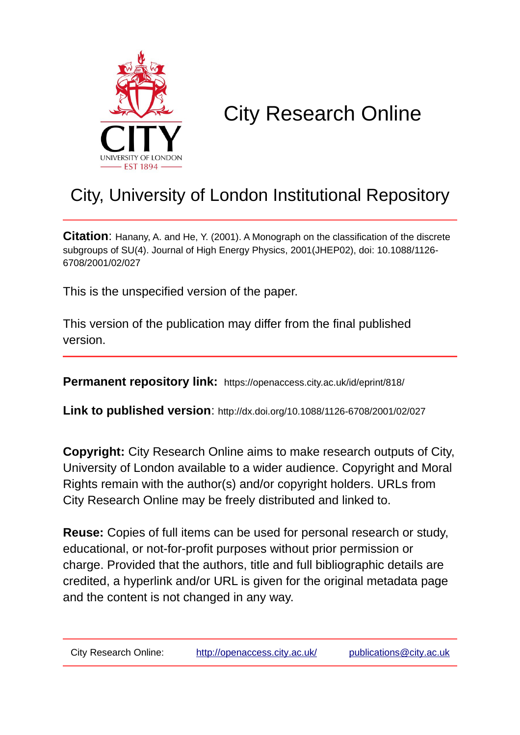

# City Research Online

## City, University of London Institutional Repository

**Citation**: Hanany, A. and He, Y. (2001). A Monograph on the classification of the discrete subgroups of SU(4). Journal of High Energy Physics, 2001(JHEP02), doi: 10.1088/1126- 6708/2001/02/027

This is the unspecified version of the paper.

This version of the publication may differ from the final published version.

**Permanent repository link:** https://openaccess.city.ac.uk/id/eprint/818/

**Link to published version**: http://dx.doi.org/10.1088/1126-6708/2001/02/027

**Copyright:** City Research Online aims to make research outputs of City, University of London available to a wider audience. Copyright and Moral Rights remain with the author(s) and/or copyright holders. URLs from City Research Online may be freely distributed and linked to.

**Reuse:** Copies of full items can be used for personal research or study, educational, or not-for-profit purposes without prior permission or charge. Provided that the authors, title and full bibliographic details are credited, a hyperlink and/or URL is given for the original metadata page and the content is not changed in any way.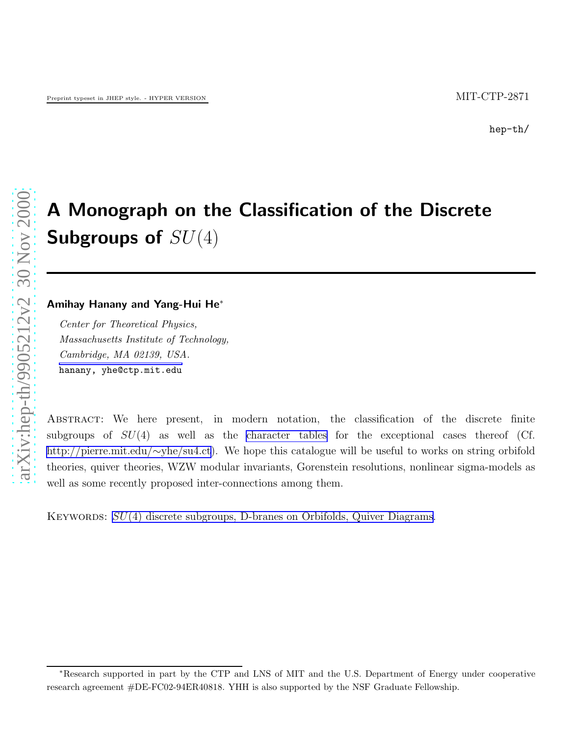## A Monograph on the Classification of the Discrete Subgroups of  $SU(4)$

#### Amihay Hanany and Yang-Hui He ∗

Center for Theoretical Physics, Massachusetts Institute of Technology, Cambridge, MA 02139, USA. hanany, yhe@ctp.mit.edu

Abstract: We here present, in modern notation, the classification of the discrete finite subgroups of  $SU(4)$  as well as the [character tables](http://pierre.mit.edu/~yhe/su4.ct) for the exceptional cases thereof (Cf. [http://pierre.mit.edu/](http://pierre.mit.edu/~yhe/su4.ct) ∼yhe/su4.ct). We hope this catalogue will be useful to works on string orbifold theories, quiver theories, WZW modular invariants, Gorenstein resolutions, nonlinear sigma-models as well as some recently proposed inter-connections among them.

KEYWORDS:  $SU(4)$  discrete subgroups, D-branes on Orbifolds, Quiver Diagrams.

<sup>∗</sup>Research supported in part by the CTP and LNS of MIT and the U.S. Department of Energy under cooperative research agreement #DE-FC02-94ER40818. YHH is also supported by the NSF Graduate Fellowship.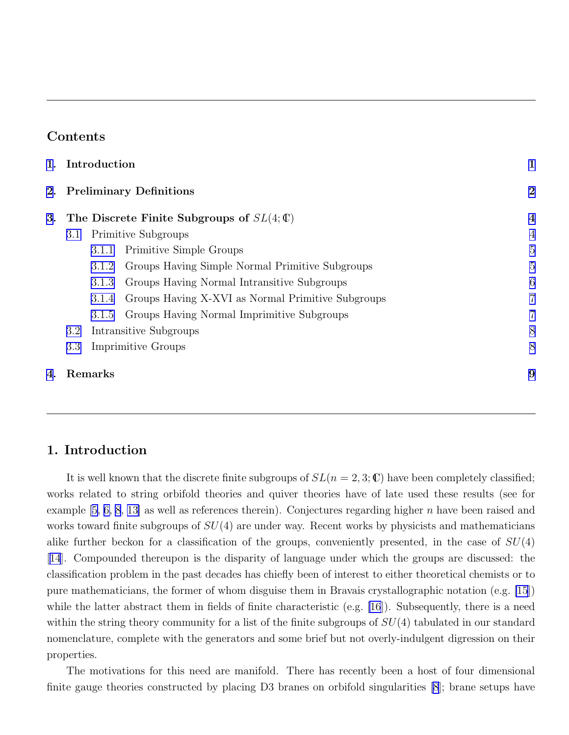## Contents

|    | 1. Introduction            |       |                                                     |                |  |  |
|----|----------------------------|-------|-----------------------------------------------------|----------------|--|--|
|    | 2. Preliminary Definitions |       |                                                     |                |  |  |
| 3. |                            |       | The Discrete Finite Subgroups of $SL(4;\mathbb{C})$ | $\overline{4}$ |  |  |
|    | 3.1                        |       | <b>Primitive Subgroups</b>                          | $\overline{4}$ |  |  |
|    |                            | 3.1.1 | Primitive Simple Groups                             | $\overline{5}$ |  |  |
|    |                            | 3.1.2 | Groups Having Simple Normal Primitive Subgroups     | $\overline{5}$ |  |  |
|    |                            | 3.1.3 | Groups Having Normal Intransitive Subgroups         | 6              |  |  |
|    |                            | 3.1.4 | Groups Having X-XVI as Normal Primitive Subgroups   | $\overline{7}$ |  |  |
|    |                            | 3.1.5 | Groups Having Normal Imprimitive Subgroups          | 7              |  |  |
|    | 3.2                        |       | Intransitive Subgroups                              | 8              |  |  |
|    | 3.3                        |       | <b>Imprimitive Groups</b>                           | 8              |  |  |
| 4. | Remarks                    | 9     |                                                     |                |  |  |
|    |                            |       |                                                     |                |  |  |

## 1. Introduction

It is well known that the discrete finite subgroups of  $SL(n = 2, 3; \mathbb{C})$  have been completely classified; works related to string orbifold theories and quiver theories have of late used these results (see for example  $[5, 6, 8, 13]$  $[5, 6, 8, 13]$  $[5, 6, 8, 13]$  $[5, 6, 8, 13]$  as well as references therein). Conjectures regarding higher *n* have been raised and works toward finite subgroups of  $SU(4)$  are under way. Recent works by physicists and mathematicians alike further beckon for a classification of the groups, conveniently presented, in the case of  $SU(4)$ [[14](#page-12-0)]. Compounded thereupon is the disparity of language under which the groups are discussed: the classification problem in the past decades has chiefly been of interest to either theoretical chemists or to pure mathematicians, the former of whom disguise them in Bravais crystallographic notation (e.g. [\[15](#page-12-0)]) while the latter abstract them in fields of finite characteristic (e.g. [\[16](#page-12-0)]). Subsequently, there is a need within the string theory community for a list of the finite subgroups of  $SU(4)$  tabulated in our standard nomenclature, complete with the generators and some brief but not overly-indulgent digression on their properties.

The motivations for this need are manifold. There has recently been a host of four dimensional finite gauge theories constructed by placing D3 branes on orbifold singularities [\[8](#page-12-0)]; brane setups have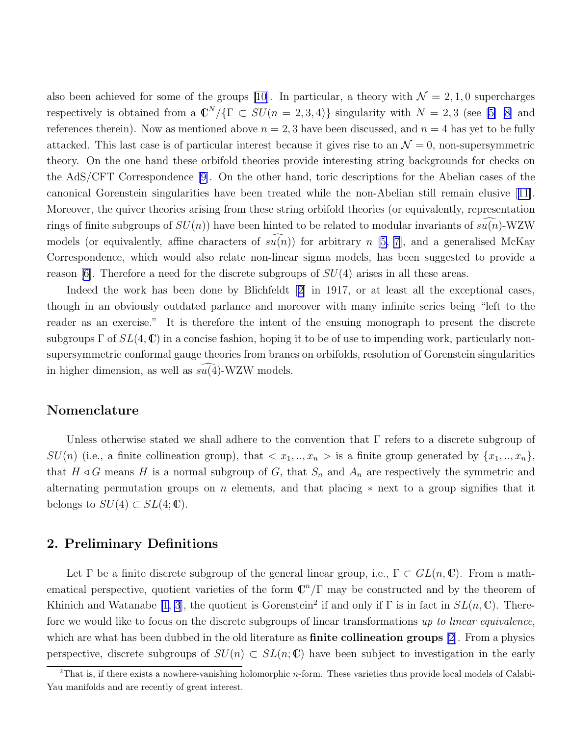<span id="page-3-0"></span>also been achieved for some of the groups [\[10](#page-12-0)]. In particular, a theory with  $\mathcal{N} = 2, 1, 0$  supercharges respectively is obtained from a  $\mathbb{C}^N/\{\Gamma \subset SU(n=2,3,4)\}\$  singularity with  $N=2,3$  (see [\[5\] \[8](#page-12-0)] and references therein). Now as mentioned above  $n = 2, 3$  have been discussed, and  $n = 4$  has yet to be fully attacked. This last case is of particular interest because it gives rise to an  $\mathcal{N}=0$ , non-supersymmetric theory. On the one hand these orbifold theories provide interesting string backgrounds for checks on the AdS/CFT Correspondence [\[9](#page-12-0)]. On the other hand, toric descriptions for the Abelian cases of the canonical Gorenstein singularities have been treated while the non-Abelian still remain elusive[[11\]](#page-12-0). Moreover, the quiver theories arising from these string orbifold theories (or equivalently, representation rings of finite subgroups of  $SU(n)$  have been hinted to be related to modular invariants of  $su(n)$ -WZW models (or equivalently, affine characters of  $su(n)$ ) for arbitrary n [[5, 7](#page-12-0)], and a generalised McKay Correspondence, which would also relate non-linear sigma models, has been suggested to provide a reason  $|6|$ . Therefore a need for the discrete subgroups of  $SU(4)$  arises in all these areas.

Indeedthe work has been done by Blichfeldt [[2\]](#page-11-0) in 1917, or at least all the exceptional cases, though in an obviously outdated parlance and moreover with many infinite series being "left to the reader as an exercise." It is therefore the intent of the ensuing monograph to present the discrete subgroups  $\Gamma$  of  $SL(4,\mathbb{C})$  in a concise fashion, hoping it to be of use to impending work, particularly nonsupersymmetric conformal gauge theories from branes on orbifolds, resolution of Gorenstein singularities in higher dimension, as well as  $s\overline{u}(4)$ -WZW models.

#### Nomenclature

Unless otherwise stated we shall adhere to the convention that  $\Gamma$  refers to a discrete subgroup of  $SU(n)$  (i.e., a finite collineation group), that  $\langle x_1, \ldots, x_n \rangle$  is a finite group generated by  $\{x_1, \ldots, x_n\}$ , that  $H \triangleleft G$  means H is a normal subgroup of G, that  $S_n$  and  $A_n$  are respectively the symmetric and alternating permutation groups on n elements, and that placing  $*$  next to a group signifies that it belongs to  $SU(4) \subset SL(4;\mathbb{C})$ .

### 2. Preliminary Definitions

Let  $\Gamma$  be a finite discrete subgroup of the general linear group, i.e.,  $\Gamma \subset GL(n,\mathbb{C})$ . From a mathematical perspective, quotient varieties of the form  $\mathbb{C}^n/\Gamma$  may be constructed and by the theorem of Khinich and Watanabe [\[1](#page-11-0), [3](#page-11-0)], the quotient is Gorenstein<sup>2</sup> if and only if  $\Gamma$  is in fact in  $SL(n,\mathbb{C})$ . Therefore we would like to focus on the discrete subgroups of linear transformations up to linear equivalence, which are what has been dubbed in the old literature as **finite collineation groups**  $[2]$  $[2]$ . From a physics perspective, discrete subgroups of  $SU(n) \subset SL(n;\mathbb{C})$  have been subject to investigation in the early

 $2$ That is, if there exists a nowhere-vanishing holomorphic *n*-form. These varieties thus provide local models of Calabi-Yau manifolds and are recently of great interest.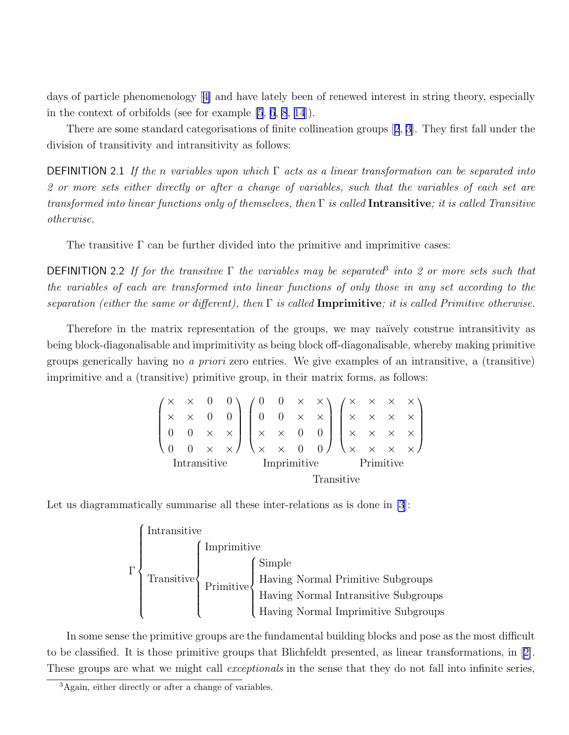days of particle phenomenology[[4\]](#page-11-0) and have lately been of renewed interest in string theory, especially in the context of orbifolds (see for example [\[5](#page-12-0), [6](#page-12-0), [8](#page-12-0), [14](#page-12-0)]).

There are some standard categorisations of finite collineation groups[[2](#page-11-0), [3\]](#page-11-0). They first fall under the division of transitivity and intransitivity as follows:

**DEFINITION** 2.1 If the n variables upon which  $\Gamma$  acts as a linear transformation can be separated into 2 or more sets either directly or after a change of variables, such that the variables of each set are transformed into linear functions only of themselves, then  $\Gamma$  is called **Intransitive**; it is called Transitive otherwise.

The transitive  $\Gamma$  can be further divided into the primitive and imprimitive cases:

**DEFINITION** 2.2 If for the transitive  $\Gamma$  the variables may be separated<sup>3</sup> into 2 or more sets such that the variables of each are transformed into linear functions of only those in any set according to the separation (either the same or different), then  $\Gamma$  is called **Imprimitive**; it is called Primitive otherwise.

Therefore in the matrix representation of the groups, we may na¨ıvely construe intransitivity as being block-diagonalisable and imprimitivity as being block off-diagonalisable, whereby making primitive groups generically having no a priori zero entries. We give examples of an intransitive, a (transitive) imprimitive and a (transitive) primitive group, in their matrix forms, as follows:

| $\begin{pmatrix} \times & \times & 0 & 0 \\ \times & \times & 0 & 0 \\ 0 & 0 & \times & \times \\ 0 & 0 & \times & \times \end{pmatrix} \begin{pmatrix} 0 & 0 & \times & \times \\ 0 & 0 & \times & \times \\ \times & \times & 0 & 0 \\ \times & \times & 0 & 0 \end{pmatrix} \begin{pmatrix} \times & \times & \times & \times \\ \times & \times & \times & \times \\ \times & \times & \times & \times \\ \times & \times & \times & \times \end{pmatrix}$ |              |                       |  |  |  |  |  |  |
|----------------------------------------------------------------------------------------------------------------------------------------------------------------------------------------------------------------------------------------------------------------------------------------------------------------------------------------------------------------------------------------------------------------------------------------------------------------|--------------|-----------------------|--|--|--|--|--|--|
|                                                                                                                                                                                                                                                                                                                                                                                                                                                                |              |                       |  |  |  |  |  |  |
|                                                                                                                                                                                                                                                                                                                                                                                                                                                                | Intransitive | Imprimitive Primitive |  |  |  |  |  |  |
|                                                                                                                                                                                                                                                                                                                                                                                                                                                                |              | Transitive            |  |  |  |  |  |  |

Let us diagrammatically summarise all these inter-relations as is done in [\[3](#page-11-0)]:

$$
\Gamma\n\begin{Bmatrix}\nIntransitive \\
\text{Transitive} \\
\text{Primitive} \\
\text{Primitive} \\
\text{Having Normal Drimitive Subgroups} \\
\text{Having Normal Intransitive Subgroups} \\
\text{Having Normal Intransitive Subgroups} \\
\text{Having Normal Imprimitive Subgroups} \\
\text{Suppose} \\
\end{Bmatrix}
$$

In some sense the primitive groups are the fundamental building blocks and pose as the most difficult to be classified. It is those primitive groups that Blichfeldt presented, as linear transformations, in[[2\]](#page-11-0). These groups are what we might call *exceptionals* in the sense that they do not fall into infinite series,

<sup>3</sup>Again, either directly or after a change of variables.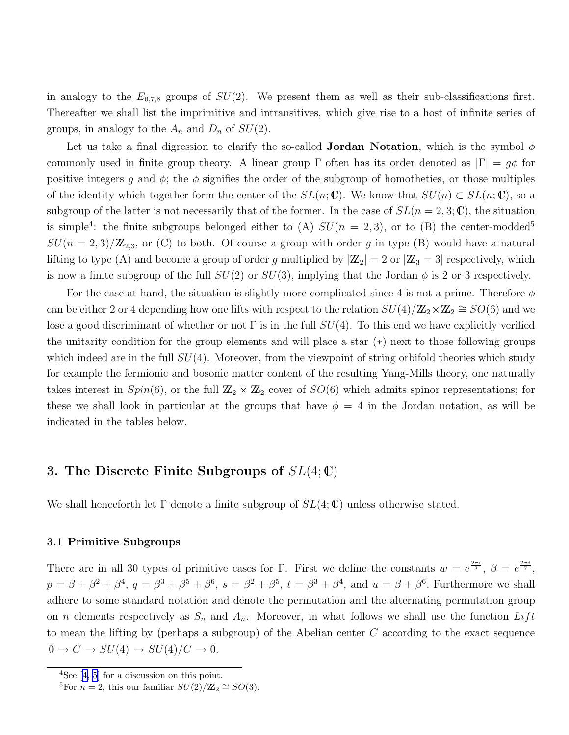<span id="page-5-0"></span>in analogy to the  $E_{6,7,8}$  groups of  $SU(2)$ . We present them as well as their sub-classifications first. Thereafter we shall list the imprimitive and intransitives, which give rise to a host of infinite series of groups, in analogy to the  $A_n$  and  $D_n$  of  $SU(2)$ .

Let us take a final digression to clarify the so-called **Jordan Notation**, which is the symbol  $\phi$ commonly used in finite group theory. A linear group  $\Gamma$  often has its order denoted as  $|\Gamma| = g\phi$  for positive integers g and  $\phi$ ; the  $\phi$  signifies the order of the subgroup of homotheties, or those multiples of the identity which together form the center of the  $SL(n;\mathbb{C})$ . We know that  $SU(n) \subset SL(n;\mathbb{C})$ , so a subgroup of the latter is not necessarily that of the former. In the case of  $SL(n = 2, 3; \mathbb{C})$ , the situation is simple<sup>4</sup>: the finite subgroups belonged either to (A)  $SU(n = 2, 3)$ , or to (B) the center-modded<sup>5</sup>  $SU(n=2,3)/\mathbb{Z}_{2,3}$ , or (C) to both. Of course a group with order g in type (B) would have a natural lifting to type (A) and become a group of order g multiplied by  $|\mathbb{Z}_2| = 2$  or  $|\mathbb{Z}_3| = 3$  respectively, which is now a finite subgroup of the full  $SU(2)$  or  $SU(3)$ , implying that the Jordan  $\phi$  is 2 or 3 respectively.

For the case at hand, the situation is slightly more complicated since 4 is not a prime. Therefore  $\phi$ can be either 2 or 4 depending how one lifts with respect to the relation  $SU(4)/{\bf Z}_2 \times {\bf Z}_2 \cong SO(6)$  and we lose a good discriminant of whether or not  $\Gamma$  is in the full  $SU(4)$ . To this end we have explicitly verified the unitarity condition for the group elements and will place a star (∗) next to those following groups which indeed are in the full  $SU(4)$ . Moreover, from the viewpoint of string orbifold theories which study for example the fermionic and bosonic matter content of the resulting Yang-Mills theory, one naturally takes interest in  $Spin(6)$ , or the full  $\mathbb{Z}_2 \times \mathbb{Z}_2$  cover of  $SO(6)$  which admits spinor representations; for these we shall look in particular at the groups that have  $\phi = 4$  in the Jordan notation, as will be indicated in the tables below.

## 3. The Discrete Finite Subgroups of  $SL(4;\mathbb{C})$

We shall henceforth let  $\Gamma$  denote a finite subgroup of  $SL(4;\mathbb{C})$  unless otherwise stated.

#### 3.1 Primitive Subgroups

There are in all 30 types of primitive cases for Γ. First we define the constants  $w = e^{\frac{2\pi i}{3}}, \beta = e^{\frac{2\pi i}{7}}$ ,  $p = \beta + \beta^2 + \beta^4$ ,  $q = \beta^3 + \beta^5 + \beta^6$ ,  $s = \beta^2 + \beta^5$ ,  $t = \beta^3 + \beta^4$ , and  $u = \beta + \beta^6$ . Furthermore we shall adhere to some standard notation and denote the permutation and the alternating permutation group on *n* elements respectively as  $S_n$  and  $A_n$ . Moreover, in what follows we shall use the function Lift to mean the lifting by (perhaps a subgroup) of the Abelian center C according to the exact sequence  $0 \to C \to SU(4) \to SU(4)/C \to 0.$ 

 ${}^{4}$ See[[4,](#page-11-0) [5\]](#page-12-0) for a discussion on this point.

<sup>&</sup>lt;sup>5</sup>For  $n = 2$ , this our familiar  $SU(2)/\mathbb{Z}_2 \cong SO(3)$ .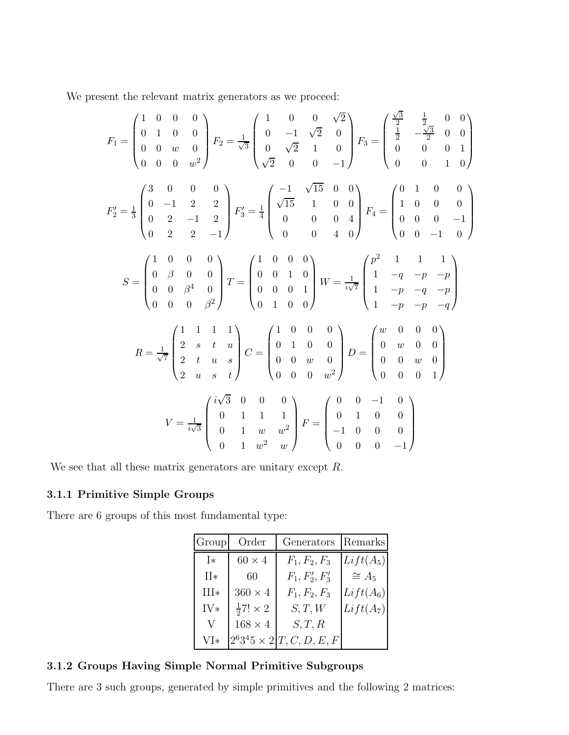<span id="page-6-0"></span>We present the relevant matrix generators as we proceed:

$$
F_1 = \begin{pmatrix} 1 & 0 & 0 & 0 \\ 0 & 1 & 0 & 0 \\ 0 & 0 & w & 0 \\ 0 & 0 & 0 & w^2 \end{pmatrix} F_2 = \frac{1}{\sqrt{3}} \begin{pmatrix} 1 & 0 & 0 & \sqrt{2} \\ 0 & -1 & \sqrt{2} & 0 \\ 0 & \sqrt{2} & 1 & 0 \\ \sqrt{2} & 0 & 0 & -1 \end{pmatrix} F_3 = \begin{pmatrix} \frac{\sqrt{3}}{2} & \frac{1}{2} & 0 & 0 \\ \frac{1}{2} & -\frac{\sqrt{3}}{2} & 0 & 0 \\ 0 & 0 & 0 & 1 \\ 0 & 0 & 0 & 1 \end{pmatrix}
$$
  
\n
$$
F_2' = \frac{1}{3} \begin{pmatrix} 3 & 0 & 0 & 0 \\ 0 & -1 & 2 & 2 \\ 0 & 2 & -1 & 2 \\ 0 & 2 & -1 & 2 \end{pmatrix} F_3' = \frac{1}{4} \begin{pmatrix} -1 & \sqrt{15} & 0 & 0 \\ \sqrt{15} & 1 & 0 & 0 \\ 0 & 0 & 0 & 4 \\ 0 & 0 & 0 & 4 \end{pmatrix} F_4 = \begin{pmatrix} 0 & 1 & 0 & 0 \\ 1 & 0 & 0 & 0 \\ 0 & 0 & 0 & -1 \\ 0 & 0 & 0 & -1 \end{pmatrix}
$$
  
\n
$$
S = \begin{pmatrix} 1 & 0 & 0 & 0 \\ 0 & \beta & 0 & 0 \\ 0 & 0 & \beta^4 & 0 \\ 0 & 0 & 0 & \beta^2 \end{pmatrix} T = \begin{pmatrix} 1 & 0 & 0 & 0 \\ 0 & 0 & 1 & 0 \\ 0 & 0 & 0 & 1 \\ 0 & 0 & 0 & 1 \end{pmatrix} W = \frac{1}{i\sqrt{7}} \begin{pmatrix} p^2 & 1 & 1 & 1 \\ 1 & -q & -p & -q \\ 1 & -p & -q & -p \\ 1 & -p & -q & -p \end{pmatrix}
$$
  
\n
$$
R = \frac{1}{\sqrt{7}} \begin{pmatrix} 1 & 1 & 1 & 1 \\ 2 & s & t & u \\ 2 & t & u & s \\ 2 & u & s & t \end{pmatrix} C = \begin{pmatrix} 1 & 0 &
$$

We see that all these matrix generators are unitary except  $R$ .

## 3.1.1 Primitive Simple Groups

There are 6 groups of this most fundamental type:

| Group  | Order                    | Generators                             | Remarks     |
|--------|--------------------------|----------------------------------------|-------------|
| I*     | $60 \times 4$            | $F_1, F_2, F_3$                        | $Lift(A_5)$ |
| $II*$  | 60                       | $F_1, F'_2, F'_3$                      | $\cong A_5$ |
| $III*$ | $360 \times 4$           | $F_1, F_2, F_3$                        | $Lift(A_6)$ |
| $IV*$  | $\frac{1}{2}7! \times 2$ | S, T, W                                | $Lift(A_7)$ |
| V      | $168 \times 4$           | S, T, R                                |             |
| $VI*$  |                          | $2^6 3^4 5 \times 2   T, C, D, E, F  $ |             |

## 3.1.2 Groups Having Simple Normal Primitive Subgroups

There are 3 such groups, generated by simple primitives and the following 2 matrices: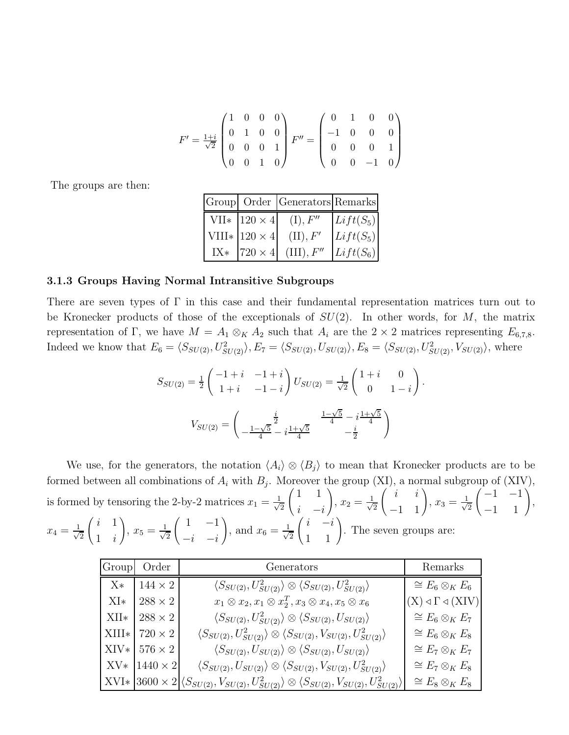$$
F' = \frac{1+i}{\sqrt{2}} \begin{pmatrix} 1 & 0 & 0 & 0 \\ 0 & 1 & 0 & 0 \\ 0 & 0 & 0 & 1 \\ 0 & 0 & 1 & 0 \end{pmatrix} F'' = \begin{pmatrix} 0 & 1 & 0 & 0 \\ -1 & 0 & 0 & 0 \\ 0 & 0 & 0 & 1 \\ 0 & 0 & -1 & 0 \end{pmatrix}
$$

<span id="page-7-0"></span>The groups are then:

|       |                       | Group Order Generators Remarks |             |
|-------|-----------------------|--------------------------------|-------------|
|       | VII* $ 120 \times 4 $ | $(I)$ , $F''$                  | $Lift(S_5)$ |
|       | VIII* $120 \times 4$  | (II), F'                       | $Lift(S_5)$ |
| $IX*$ | $ 720\times4 $        | $(III)$ , $F''$                | $List(S_6)$ |

#### 3.1.3 Groups Having Normal Intransitive Subgroups

There are seven types of Γ in this case and their fundamental representation matrices turn out to be Kronecker products of those of the exceptionals of  $SU(2)$ . In other words, for M, the matrix representation of Γ, we have  $M = A_1 \otimes_K A_2$  such that  $A_i$  are the 2 × 2 matrices representing  $E_{6,7,8}$ . Indeed we know that  $E_6 = \langle S_{SU(2)}, U_{SU(2)}^2 \rangle$ ,  $E_7 = \langle S_{SU(2)}, U_{SU(2)} \rangle$ ,  $E_8 = \langle S_{SU(2)}, U_{SU(2)}^2, V_{SU(2)} \rangle$ , where

$$
S_{SU(2)} = \frac{1}{2} \begin{pmatrix} -1+i & -1+i \\ 1+i & -1-i \end{pmatrix} U_{SU(2)} = \frac{1}{\sqrt{2}} \begin{pmatrix} 1+i & 0 \\ 0 & 1-i \end{pmatrix}.
$$

$$
V_{SU(2)} = \begin{pmatrix} \frac{i}{2} & \frac{1-\sqrt{5}}{4} - i\frac{1+\sqrt{5}}{4} \\ -\frac{1-\sqrt{5}}{4} - i\frac{1+\sqrt{5}}{4} & -\frac{i}{2} \end{pmatrix}
$$

We use, for the generators, the notation  $\langle A_i \rangle \otimes \langle B_j \rangle$  to mean that Kronecker products are to be formed between all combinations of  $A_i$  with  $B_j$ . Moreover the group (XI), a normal subgroup of (XIV), is formed by tensoring the 2-by-2 matrices  $x_1 = \frac{1}{\sqrt{2}}$ 2  $(1 \ 1)$  $\frac{i}{\sqrt{2}}$  –i ! ,  $x_2 = \frac{1}{\sqrt{2}}$ 2  $\begin{pmatrix} i & i \\ -1 & 1 \end{pmatrix}$ ,  $x_3 = \frac{1}{\sqrt{2}}$ 2  $\begin{pmatrix} -1 & -1 \\ -1 & 1 \end{pmatrix}$ ,  $x_4 = \frac{1}{\sqrt{2}}$ 2  $\begin{pmatrix} i & 1 \end{pmatrix}$ 1 i  $\setminus$ ,  $x_5 = \frac{1}{\sqrt{2}}$ 2  $\begin{pmatrix} 1 & -1 \\ 1 & -1 \end{pmatrix}$  $-i$   $-i$ ! , and  $x_6 = \frac{1}{\sqrt{2}}$ 2  $\begin{pmatrix} i & -i \\ 1 & 1 \end{pmatrix}$ . The seven groups are:

|       | Group Order            | Generators                                                                                                                         | Remarks                                        |
|-------|------------------------|------------------------------------------------------------------------------------------------------------------------------------|------------------------------------------------|
|       | $X*$   144 $\times$ 2  | $\langle S_{SU(2)}, U^2_{SU(2)} \rangle \otimes \langle S_{SU(2)}, U^2_{SU(2)} \rangle$                                            | $\cong E_6 \otimes_K E_6$                      |
| $XI*$ | $288\times2$           | $x_1 \otimes x_2, x_1 \otimes x_2^T, x_3 \otimes x_4, x_5 \otimes x_6$                                                             | $(X) \triangleleft \Gamma \triangleleft (XIV)$ |
|       | XII* $288 \times 2$    | $\langle S_{SU(2)}, U^2_{SU(2)} \rangle \otimes \langle S_{SU(2)}, U_{SU(2)} \rangle$                                              | $\cong E_6 \otimes_K E_7$                      |
|       | XIII* 720 $\times$ 2   | $\langle S_{SU(2)}, U^2_{SU(2)} \rangle \otimes \langle S_{SU(2)}, V_{SU(2)}, U^2_{SU(2)} \rangle$                                 | $\cong E_6 \otimes_K E_8$                      |
|       | $XIV*$ 576 $\times$ 2  | $\langle S_{SU(2)}, U_{SU(2)} \rangle \otimes \langle S_{SU(2)}, U_{SU(2)} \rangle$                                                | $\cong E_7 \otimes_K E_7$                      |
|       | $XV*   1440 \times 2 $ | $\langle S_{SU(2)}, U_{SU(2)} \rangle \otimes \langle S_{SU(2)}, V_{SU(2)}, U_{SU(2)}^2 \rangle$                                   | $\cong E_7 \otimes_K E_8$                      |
|       |                        | XVI* $ 3600 \times 2  \langle S_{SU(2)}, V_{SU(2)}, U_{SU(2)}^2 \rangle \otimes \langle S_{SU(2)}, V_{SU(2)}, U_{SU(2)}^2 \rangle$ | $\cong E_8 \otimes_K E_8$                      |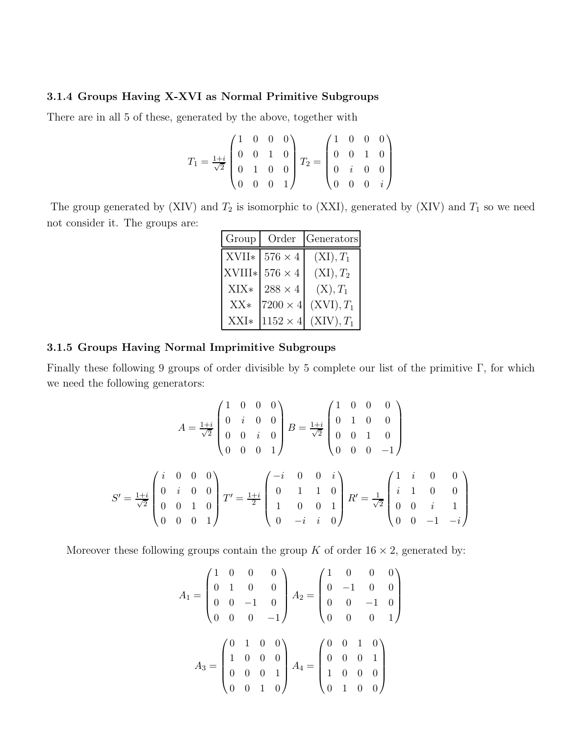#### <span id="page-8-0"></span>3.1.4 Groups Having X-XVI as Normal Primitive Subgroups

There are in all 5 of these, generated by the above, together with

$$
T_1 = \frac{1+i}{\sqrt{2}} \begin{pmatrix} 1 & 0 & 0 & 0 \\ 0 & 0 & 1 & 0 \\ 0 & 1 & 0 & 0 \\ 0 & 0 & 0 & 1 \end{pmatrix} T_2 = \begin{pmatrix} 1 & 0 & 0 & 0 \\ 0 & 0 & 1 & 0 \\ 0 & i & 0 & 0 \\ 0 & 0 & 0 & i \end{pmatrix}
$$

The group generated by (XIV) and  $T_2$  is isomorphic to (XXI), generated by (XIV) and  $T_1$  so we need not consider it. The groups are:

| Group  | Order           | Generators   |
|--------|-----------------|--------------|
| XVII*  | $576\times4$    | $(XI), T_1$  |
| XVIII* | $576\times4$    | $(XI), T_2$  |
| XIX*   | $288 \times 4$  | $(X), T_1$   |
| $XX*$  | $7200 \times 4$ | $(XVI), T_1$ |
| XXI*   | $1152 \times 4$ | $(XIV), T_1$ |

#### 3.1.5 Groups Having Normal Imprimitive Subgroups

Finally these following 9 groups of order divisible by 5 complete our list of the primitive Γ, for which we need the following generators:

$$
A = \frac{1+i}{\sqrt{2}} \begin{pmatrix} 1 & 0 & 0 & 0 \\ 0 & i & 0 & 0 \\ 0 & 0 & i & 0 \\ 0 & 0 & 0 & 1 \end{pmatrix} B = \frac{1+i}{\sqrt{2}} \begin{pmatrix} 1 & 0 & 0 & 0 \\ 0 & 1 & 0 & 0 \\ 0 & 0 & 1 & 0 \\ 0 & 0 & 0 & -1 \end{pmatrix}
$$

$$
S' = \frac{1+i}{\sqrt{2}} \begin{pmatrix} i & 0 & 0 & 0 \\ 0 & i & 0 & 0 \\ 0 & 0 & 1 & 0 \\ 0 & 0 & 0 & 1 \end{pmatrix} T' = \frac{1+i}{2} \begin{pmatrix} -i & 0 & 0 & i \\ 0 & 1 & 1 & 0 \\ 1 & 0 & 0 & 1 \\ 0 & -i & i & 0 \end{pmatrix} R' = \frac{1}{\sqrt{2}} \begin{pmatrix} 1 & i & 0 & 0 \\ i & 1 & 0 & 0 \\ 0 & 0 & i & 1 \\ 0 & 0 & -1 & -i \end{pmatrix}
$$

Moreover these following groups contain the group K of order  $16 \times 2$ , generated by:

$$
A_1 = \begin{pmatrix} 1 & 0 & 0 & 0 \\ 0 & 1 & 0 & 0 \\ 0 & 0 & -1 & 0 \\ 0 & 0 & 0 & -1 \end{pmatrix} A_2 = \begin{pmatrix} 1 & 0 & 0 & 0 \\ 0 & -1 & 0 & 0 \\ 0 & 0 & -1 & 0 \\ 0 & 0 & 0 & 1 \end{pmatrix}
$$

$$
A_3 = \begin{pmatrix} 0 & 1 & 0 & 0 \\ 1 & 0 & 0 & 0 \\ 0 & 0 & 0 & 1 \\ 0 & 0 & 1 & 0 \end{pmatrix} A_4 = \begin{pmatrix} 0 & 0 & 1 & 0 \\ 0 & 0 & 0 & 1 \\ 1 & 0 & 0 & 0 \\ 0 & 1 & 0 & 0 \end{pmatrix}
$$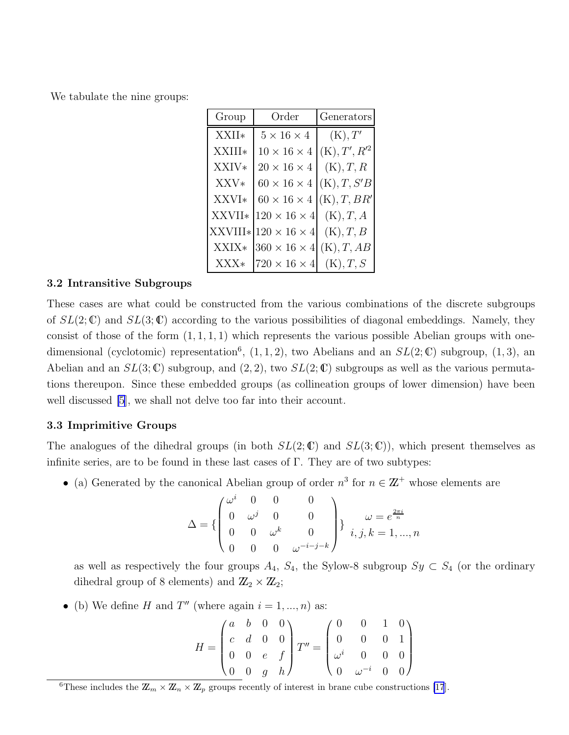<span id="page-9-0"></span>We tabulate the nine groups:

| Group   | Order                    | Generators      |
|---------|--------------------------|-----------------|
| XXII*   | $5 \times 16 \times 4$   | (K), T'         |
| XXIII*  | $10 \times 16 \times 4$  | $(K), T', R'^2$ |
| XXIV*   | $20\times16\times4$      | (K), T, R       |
| XXV*    | $60 \times 16 \times 4$  | (K), T, S'B     |
| XXVI*   | $60 \times 16 \times 4$  | (K), T, BR'     |
| XXVII*  | $120\times16\times4$     | (K), T, A       |
| XXVIII* | $120 \times 16 \times 4$ | (K), T, B       |
| XXIX*   | $360 \times 16 \times 4$ | (K), T, AB      |
| $XXX*$  | $720\times16\times4$     | (K), T, S       |

#### 3.2 Intransitive Subgroups

These cases are what could be constructed from the various combinations of the discrete subgroups of  $SL(2;\mathbb{C})$  and  $SL(3;\mathbb{C})$  according to the various possibilities of diagonal embeddings. Namely, they consist of those of the form  $(1, 1, 1, 1)$  which represents the various possible Abelian groups with onedimensional (cyclotomic) representation<sup>6</sup>,  $(1, 1, 2)$ , two Abelians and an  $SL(2;\mathbb{C})$  subgroup,  $(1, 3)$ , an Abelian and an  $SL(3;\mathbb{C})$  subgroup, and  $(2, 2)$ , two  $SL(2;\mathbb{C})$  subgroups as well as the various permutations thereupon. Since these embedded groups (as collineation groups of lower dimension) have been well discussed [\[5](#page-12-0)], we shall not delve too far into their account.

#### 3.3 Imprimitive Groups

The analogues of the dihedral groups (in both  $SL(2;\mathbb{C})$  and  $SL(3;\mathbb{C})$ ), which present themselves as infinite series, are to be found in these last cases of  $\Gamma$ . They are of two subtypes:

• (a) Generated by the canonical Abelian group of order  $n^3$  for  $n \in \mathbb{Z}^+$  whose elements are

$$
\Delta = \left\{ \begin{pmatrix} \omega^i & 0 & 0 & 0 \\ 0 & \omega^j & 0 & 0 \\ 0 & 0 & \omega^k & 0 \\ 0 & 0 & 0 & \omega^{-i-j-k} \end{pmatrix} \right\} \begin{matrix} \omega = e^{\frac{2\pi i}{n}} \\ i, j, k = 1, ..., n \end{matrix}
$$

as well as respectively the four groups  $A_4$ ,  $S_4$ , the Sylow-8 subgroup  $Sy \subset S_4$  (or the ordinary dihedral group of 8 elements) and  $\mathbb{Z}_2 \times \mathbb{Z}_2$ ;

• (b) We define H and  $T''$  (where again  $i = 1, ..., n$ ) as:

$$
H = \begin{pmatrix} a & b & 0 & 0 \\ c & d & 0 & 0 \\ 0 & 0 & e & f \\ 0 & 0 & g & h \end{pmatrix} T'' = \begin{pmatrix} 0 & 0 & 1 & 0 \\ 0 & 0 & 0 & 1 \\ \omega^i & 0 & 0 & 0 \\ 0 & \omega^{-i} & 0 & 0 \end{pmatrix}
$$

<sup>6</sup>These includes the  $\mathbb{Z}_m \times \mathbb{Z}_n \times \mathbb{Z}_p$  groups recently of interest in brane cube constructions [\[17](#page-12-0)].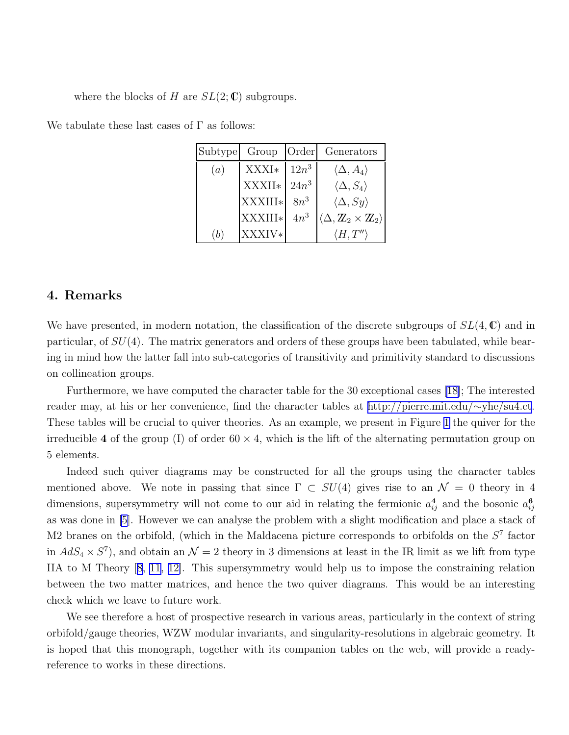<span id="page-10-0"></span>where the blocks of H are  $SL(2;\mathbb{C})$  subgroups.

| Subtype | Group   | Order   | Generators                                                 |
|---------|---------|---------|------------------------------------------------------------|
| (a)     | XXXI*   | $12n^3$ | $\langle \Delta, A_4 \rangle$                              |
|         | XXXII*  | $24n^3$ | $\langle \Delta, S_4 \rangle$                              |
|         | XXXIII* | $8n^3$  | $\langle \Delta, Sy \rangle$                               |
|         | XXXIII* | $4n^3$  | $\langle \Delta, \mathbb{Z}_2 \times \mathbb{Z}_2 \rangle$ |
|         | XXXIV*  |         | $\langle H, T'' \rangle$                                   |

We tabulate these last cases of  $\Gamma$  as follows:

### 4. Remarks

We have presented, in modern notation, the classification of the discrete subgroups of  $SL(4,\mathbb{C})$  and in particular, of  $SU(4)$ . The matrix generators and orders of these groups have been tabulated, while bearing in mind how the latter fall into sub-categories of transitivity and primitivity standard to discussions on collineation groups.

Furthermore, we have computed the character table for the 30 exceptional cases [\[18\]](#page-12-0); The interested reader may, at his or her convenience, find the character tables at [http://pierre.mit.edu/](http://pierre.mit.edu/~yhe/su4.ct)∼yhe/su4.ct. These tables will be crucial to quiver theories. As an example, we present in Figure [1](#page-11-0) the quiver for the irreducible 4 of the group (I) of order  $60 \times 4$ , which is the lift of the alternating permutation group on 5 elements.

Indeed such quiver diagrams may be constructed for all the groups using the character tables mentioned above. We note in passing that since  $\Gamma \subset SU(4)$  gives rise to an  $\mathcal{N} = 0$  theory in 4 dimensions, supersymmetry will not come to our aid in relating the fermionic  $a_{ij}^4$  and the bosonic  $a_{ij}^6$ ij as was done in [\[5](#page-12-0)]. However we can analyse the problem with a slight modification and place a stack of M2 branes on the orbifold, (which in the Maldacena picture corresponds to orbifolds on the  $S<sup>7</sup>$  factor in  $AdS_4 \times S^7$ , and obtain an  $\mathcal{N}=2$  theory in 3 dimensions at least in the IR limit as we lift from type IIA to M Theory[[8](#page-12-0), [11](#page-12-0), [12\]](#page-12-0). This supersymmetry would help us to impose the constraining relation between the two matter matrices, and hence the two quiver diagrams. This would be an interesting check which we leave to future work.

We see therefore a host of prospective research in various areas, particularly in the context of string orbifold/gauge theories, WZW modular invariants, and singularity-resolutions in algebraic geometry. It is hoped that this monograph, together with its companion tables on the web, will provide a readyreference to works in these directions.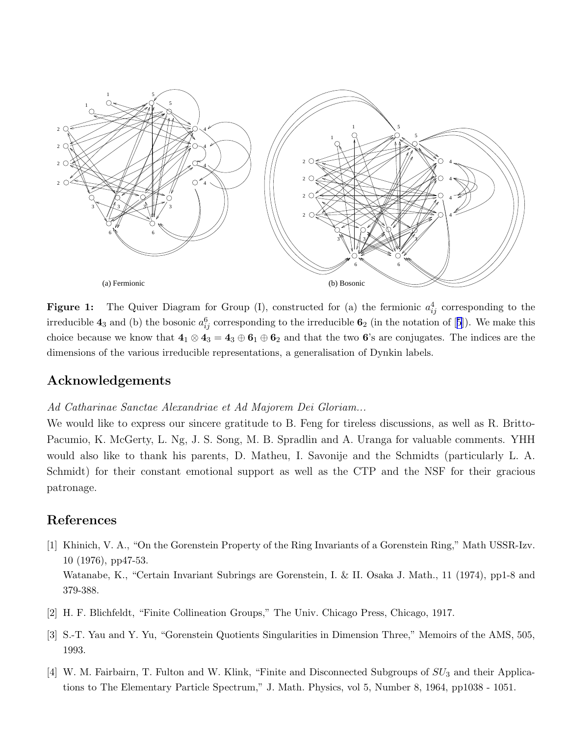<span id="page-11-0"></span>

**Figure 1:** The Quiver Diagram for Group (I), constructed for (a) the fermionic  $a_{ij}^4$  corresponding to the irreducible $4_3$  and (b) the bosonic  $a_{ij}^6$  corresponding to the irreducible  $6_2$  (in the notation of [[5](#page-12-0)]). We make this choice because we know that  $4_1 \otimes 4_3 = 4_3 \oplus 6_1 \oplus 6_2$  and that the two 6's are conjugates. The indices are the dimensions of the various irreducible representations, a generalisation of Dynkin labels.

#### Acknowledgements

#### Ad Catharinae Sanctae Alexandriae et Ad Majorem Dei Gloriam...

We would like to express our sincere gratitude to B. Feng for tireless discussions, as well as R. Britto-Pacumio, K. McGerty, L. Ng, J. S. Song, M. B. Spradlin and A. Uranga for valuable comments. YHH would also like to thank his parents, D. Matheu, I. Savonije and the Schmidts (particularly L. A. Schmidt) for their constant emotional support as well as the CTP and the NSF for their gracious patronage.

## References

- [1] Khinich, V. A., "On the Gorenstein Property of the Ring Invariants of a Gorenstein Ring," Math USSR-Izv. 10 (1976), pp47-53. Watanabe, K., "Certain Invariant Subrings are Gorenstein, I. & II. Osaka J. Math., 11 (1974), pp1-8 and 379-388.
- [2] H. F. Blichfeldt, "Finite Collineation Groups," The Univ. Chicago Press, Chicago, 1917.
- [3] S.-T. Yau and Y. Yu, "Gorenstein Quotients Singularities in Dimension Three," Memoirs of the AMS, 505, 1993.
- [4] W. M. Fairbairn, T. Fulton and W. Klink, "Finite and Disconnected Subgroups of  $SU_3$  and their Applications to The Elementary Particle Spectrum," J. Math. Physics, vol 5, Number 8, 1964, pp1038 - 1051.